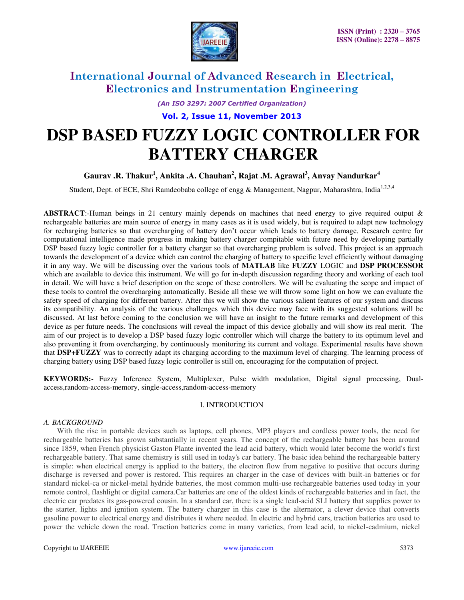

*(An ISO 3297: 2007 Certified Organization)* 

**Vol. 2, Issue 11, November 2013**

# **DSP BASED FUZZY LOGIC CONTROLLER FOR BATTERY CHARGER**

# **Gaurav .R. Thakur<sup>1</sup> , Ankita .A. Chauhan<sup>2</sup> , Rajat .M. Agrawal<sup>3</sup> , Anvay Nandurkar<sup>4</sup>**

Student, Dept. of ECE, Shri Ramdeobaba college of engg & Management, Nagpur, Maharashtra, India<sup>1,2,3,4</sup>

ABSTRACT:-Human beings in 21 century mainly depends on machines that need energy to give required output & rechargeable batteries are main source of energy in many cases as it is used widely, but is required to adapt new technology for recharging batteries so that overcharging of battery don't occur which leads to battery damage. Research centre for computational intelligence made progress in making battery charger compitable with future need by developing partially DSP based fuzzy logic controller for a battery charger so that overcharging problem is solved. This project is an approach towards the development of a device which can control the charging of battery to specific level efficiently without damaging it in any way. We will be discussing over the various tools of **MATLAB** like **FUZZY** LOGIC and **DSP PROCESSOR** which are available to device this instrument. We will go for in-depth discussion regarding theory and working of each tool in detail. We will have a brief description on the scope of these controllers. We will be evaluating the scope and impact of these tools to control the overcharging automatically. Beside all these we will throw some light on how we can evaluate the safety speed of charging for different battery. After this we will show the various salient features of our system and discuss its compatibility. An analysis of the various challenges which this device may face with its suggested solutions will be discussed. At last before coming to the conclusion we will have an insight to the future remarks and development of this device as per future needs. The conclusions will reveal the impact of this device globally and will show its real merit. The aim of our project is to develop a DSP based fuzzy logic controller which will charge the battery to its optimum level and also preventing it from overcharging, by continuously monitoring its current and voltage. Experimental results have shown that **DSP+FUZZY** was to correctly adapt its charging according to the maximum level of charging. The learning process of charging battery using DSP based fuzzy logic controller is still on, encouraging for the computation of project.

**KEYWORDS:-** Fuzzy Inference System, Multiplexer, Pulse width modulation, Digital signal processing, Dualaccess,random-access-memory, single-access,random-access-memory

### I. INTRODUCTION

#### *A. BACKGROUND*

 With the rise in portable devices such as laptops, cell phones, MP3 players and cordless power tools, the need for rechargeable batteries has grown substantially in recent years. The concept of the rechargeable battery has been around since 1859, when French physicist Gaston Plante invented the lead acid battery, which would later become the world's first rechargeable battery. That same chemistry is still used in today's car battery. The basic idea behind the rechargeable battery is simple: when electrical energy is applied to the battery, the electron flow from negative to positive that occurs during discharge is reversed and power is restored. This requires an charger in the case of devices with built-in batteries or for standard nickel-ca or nickel-metal hydride batteries, the most common multi-use rechargeable batteries used today in your remote control, flashlight or digital camera.Car batteries are one of the oldest kinds of rechargeable batteries and in fact, the electric car predates its gas-powered cousin. In a standard car, there is a single lead-acid SLI battery that supplies power to the starter, lights and ignition system. The battery charger in this case is the alternator, a clever device that converts gasoline power to electrical energy and distributes it where needed. In electric and hybrid cars, traction batteries are used to power the vehicle down the road. Traction batteries come in many varieties, from lead acid, to nickel-cadmium, nickel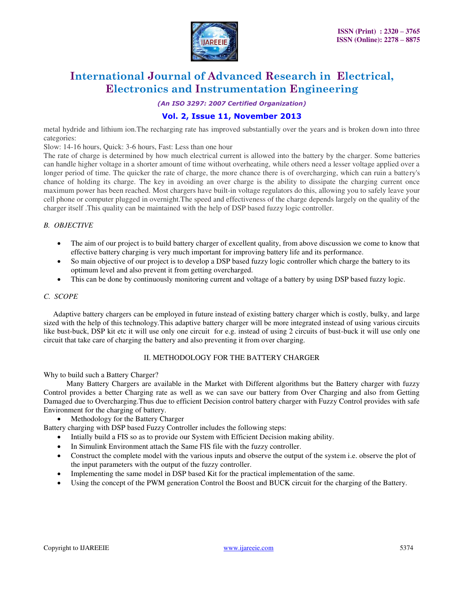

*(An ISO 3297: 2007 Certified Organization)* 

# **Vol. 2, Issue 11, November 2013**

metal hydride and lithium ion.The recharging rate has improved substantially over the years and is broken down into three categories:

Slow: 14-16 hours, Quick: 3-6 hours, Fast: Less than one hour

The rate of charge is determined by how much electrical current is allowed into the battery by the charger. Some batteries can handle higher voltage in a shorter amount of time without overheating, while others need a lesser voltage applied over a longer period of time. The quicker the rate of charge, the more chance there is of overcharging, which can ruin a battery's chance of holding its charge. The key in avoiding an over charge is the ability to dissipate the charging current once maximum power has been reached. Most chargers have built-in voltage regulators do this, allowing you to safely leave your cell phone or computer plugged in overnight.The speed and effectiveness of the charge depends largely on the quality of the charger itself .This quality can be maintained with the help of DSP based fuzzy logic controller.

### *B. OBJECTIVE*

- The aim of our project is to build battery charger of excellent quality, from above discussion we come to know that effective battery charging is very much important for improving battery life and its performance.
- So main objective of our project is to develop a DSP based fuzzy logic controller which charge the battery to its optimum level and also prevent it from getting overcharged.
- This can be done by continuously monitoring current and voltage of a battery by using DSP based fuzzy logic.

### *C. SCOPE*

 Adaptive battery chargers can be employed in future instead of existing battery charger which is costly, bulky, and large sized with the help of this technology*.*This adaptive battery charger will be more integrated instead of using various circuits like bust-buck, DSP kit etc it will use only one circuit for e.g. instead of using 2 circuits of bust-buck it will use only one circuit that take care of charging the battery and also preventing it from over charging.

### II. METHODOLOGY FOR THE BATTERY CHARGER

Why to build such a Battery Charger?

 Many Battery Chargers are available in the Market with Different algorithms but the Battery charger with fuzzy Control provides a better Charging rate as well as we can save our battery from Over Charging and also from Getting Damaged due to Overcharging.Thus due to efficient Decision control battery charger with Fuzzy Control provides with safe Environment for the charging of battery.

Methodology for the Battery Charger

Battery charging with DSP based Fuzzy Controller includes the following steps:

- Intially build a FIS so as to provide our System with Efficient Decision making ability.
- In Simulink Environment attach the Same FIS file with the fuzzy controller.
- Construct the complete model with the various inputs and observe the output of the system i.e. observe the plot of the input parameters with the output of the fuzzy controller.
- Implementing the same model in DSP based Kit for the practical implementation of the same.
- Using the concept of the PWM generation Control the Boost and BUCK circuit for the charging of the Battery.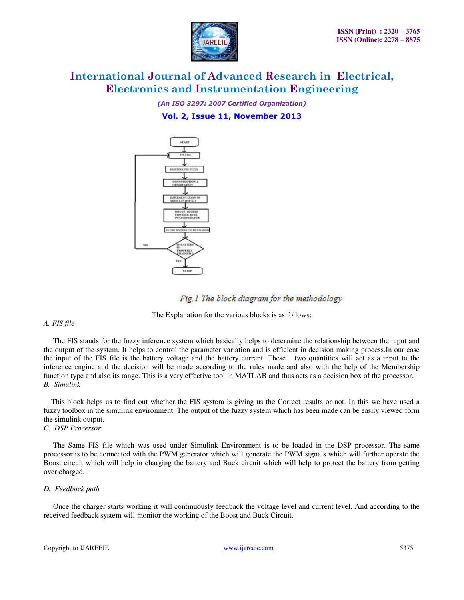

*(An ISO 3297: 2007 Certified Organization)*  **Vol. 2, Issue 11, November 2013**







The Explanation for the various blocks is as follows:

### *A. FIS file*

 The FIS stands for the fuzzy inference system which basically helps to determine the relationship between the input and the output of the system. It helps to control the parameter variation and is efficient in decision making process.In our case the input of the FIS file is the battery voltage and the battery current. These two quantities will act as a input to the inference engine and the decision will be made according to the rules made and also with the help of the Membership function type and also its range. This is a very effective tool in MATLAB and thus acts as a decision box of the processor. *B. Simulink*

 This block helps us to find out whether the FIS system is giving us the Correct results or not. In this we have used a fuzzy toolbox in the simulink environment. The output of the fuzzy system which has been made can be easily viewed form the simulink output.

## *C. DSP Processor*

 The Same FIS file which was used under Simulink Environment is to be loaded in the DSP processor. The same processor is to be connected with the PWM generator which will generate the PWM signals which will further operate the Boost circuit which will help in charging the battery and Buck circuit which will help to protect the battery from getting over charged.

### *D. Feedback path*

 Once the charger starts working it will continuously feedback the voltage level and current level. And according to the received feedback system will monitor the working of the Boost and Buck Circuit.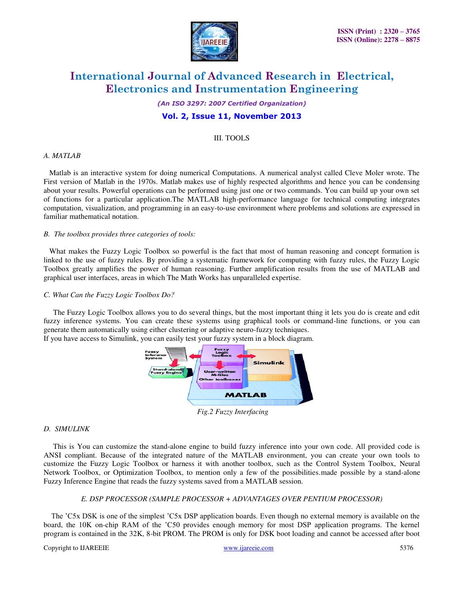

#### *(An ISO 3297: 2007 Certified Organization)*

## **Vol. 2, Issue 11, November 2013**

#### III. TOOLS

#### *A. MATLAB*

 Matlab is an interactive system for doing numerical Computations. A numerical analyst called Cleve Moler wrote. The First version of Matlab in the 1970s. Matlab makes use of highly respected algorithms and hence you can be condensing about your results. Powerful operations can be performed using just one or two commands. You can build up your own set of functions for a particular application.The MATLAB high-performance language for technical computing integrates computation, visualization, and programming in an easy-to-use environment where problems and solutions are expressed in familiar mathematical notation.

#### *B. The toolbox provides three categories of tools:*

 What makes the Fuzzy Logic Toolbox so powerful is the fact that most of human reasoning and concept formation is linked to the use of fuzzy rules. By providing a systematic framework for computing with fuzzy rules, the Fuzzy Logic Toolbox greatly amplifies the power of human reasoning. Further amplification results from the use of MATLAB and graphical user interfaces, areas in which The Math Works has unparalleled expertise.

#### *C. What Can the Fuzzy Logic Toolbox Do?*

 The Fuzzy Logic Toolbox allows you to do several things, but the most important thing it lets you do is create and edit fuzzy inference systems. You can create these systems using graphical tools or command-line functions, or you can generate them automatically using either clustering or adaptive neuro-fuzzy techniques.

If you have access to Simulink, you can easily test your fuzzy system in a block diagram.



 *Fig.2 Fuzzy Interfacing* 

#### *D. SIMULINK*

 This is You can customize the stand-alone engine to build fuzzy inference into your own code. All provided code is ANSI compliant. Because of the integrated nature of the MATLAB environment, you can create your own tools to customize the Fuzzy Logic Toolbox or harness it with another toolbox, such as the Control System Toolbox, Neural Network Toolbox, or Optimization Toolbox, to mention only a few of the possibilities.made possible by a stand-alone Fuzzy Inference Engine that reads the fuzzy systems saved from a MATLAB session.

#### *E. DSP PROCESSOR (SAMPLE PROCESSOR + ADVANTAGES OVER PENTIUM PROCESSOR)*

 The 'C5x DSK is one of the simplest 'C5x DSP application boards. Even though no external memory is available on the board, the 10K on-chip RAM of the 'C50 provides enough memory for most DSP application programs. The kernel program is contained in the 32K, 8-bit PROM. The PROM is only for DSK boot loading and cannot be accessed after boot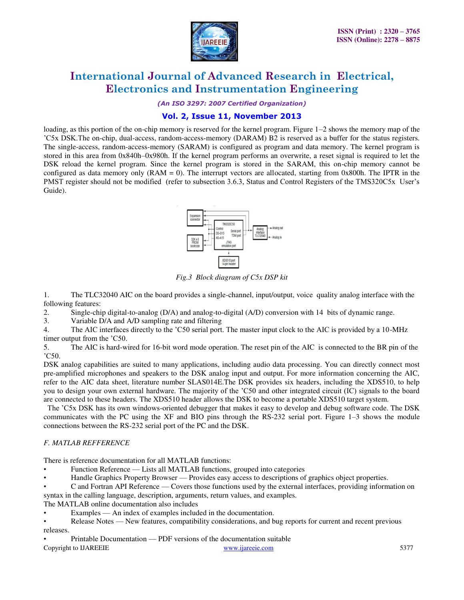

*(An ISO 3297: 2007 Certified Organization)* 

# **Vol. 2, Issue 11, November 2013**

loading, as this portion of the on-chip memory is reserved for the kernel program. Figure 1–2 shows the memory map of the 'C5x DSK.The on-chip, dual-access, random-access-memory (DARAM) B2 is reserved as a buffer for the status registers. The single-access, random-access-memory (SARAM) is configured as program and data memory. The kernel program is stored in this area from 0x840h–0x980h. If the kernel program performs an overwrite, a reset signal is required to let the DSK reload the kernel program. Since the kernel program is stored in the SARAM, this on-chip memory cannot be configured as data memory only  $(RAM = 0)$ . The interrupt vectors are allocated, starting from 0x800h. The IPTR in the PMST register should not be modified (refer to subsection 3.6.3, Status and Control Registers of the TMS320C5x User's Guide).



*Fig.3 Block diagram of C5x DSP kit* 

1. The TLC32040 AIC on the board provides a single-channel, input/output, voice quality analog interface with the following features:

2. Single-chip digital-to-analog (D/A) and analog-to-digital (A/D) conversion with 14 bits of dynamic range.

3. Variable D/A and A/D sampling rate and filtering

4. The AIC interfaces directly to the 'C50 serial port. The master input clock to the AIC is provided by a 10-MHz timer output from the 'C50.

5. The AIC is hard-wired for 16-bit word mode operation. The reset pin of the AIC is connected to the BR pin of the 'C50.

DSK analog capabilities are suited to many applications, including audio data processing. You can directly connect most pre-amplified microphones and speakers to the DSK analog input and output. For more information concerning the AIC, refer to the AIC data sheet, literature number SLAS014E.The DSK provides six headers, including the XDS510, to help you to design your own external hardware. The majority of the 'C50 and other integrated circuit (IC) signals to the board are connected to these headers. The XDS510 header allows the DSK to become a portable XDS510 target system.

 The 'C5x DSK has its own windows-oriented debugger that makes it easy to develop and debug software code. The DSK communicates with the PC using the XF and BIO pins through the RS-232 serial port. Figure 1–3 shows the module connections between the RS-232 serial port of the PC and the DSK.

# *F. MATLAB REFFERENCE*

There is reference documentation for all MATLAB functions:

- Function Reference Lists all MATLAB functions, grouped into categories
- Handle Graphics Property Browser Provides easy access to descriptions of graphics object properties.

• C and Fortran API Reference — Covers those functions used by the external interfaces, providing information on syntax in the calling language, description, arguments, return values, and examples.

The MATLAB online documentation also includes

- Examples An index of examples included in the documentation.
- Release Notes New features, compatibility considerations, and bug reports for current and recent previous releases.
- Printable Documentation PDF versions of the documentation suitable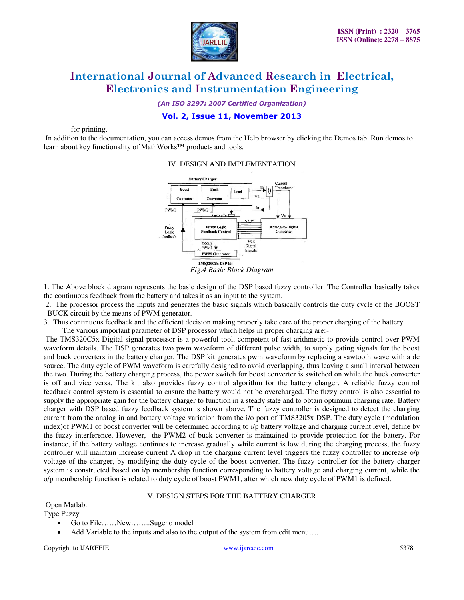

*(An ISO 3297: 2007 Certified Organization)* 

# **Vol. 2, Issue 11, November 2013**

for printing.

 In addition to the documentation, you can access demos from the Help browser by clicking the Demos tab. Run demos to learn about key functionality of MathWorks™ products and tools.

#### IV. DESIGN AND IMPLEMENTATION



1. The Above block diagram represents the basic design of the DSP based fuzzy controller. The Controller basically takes the continuous feedback from the battery and takes it as an input to the system.

 2. The processor process the inputs and generates the basic signals which basically controls the duty cycle of the BOOST –BUCK circuit by the means of PWM generator.

3. Thus continuous feedback and the efficient decision making properly take care of the proper charging of the battery.

The various important parameter of DSP processor which helps in proper charging are:-

 The TMS320C5x Digital signal processor is a powerful tool, competent of fast arithmetic to provide control over PWM waveform details. The DSP generates two pwm waveform of different pulse width, to supply gating signals for the boost and buck converters in the battery charger. The DSP kit generates pwm waveform by replacing a sawtooth wave with a dc source. The duty cycle of PWM waveform is carefully designed to avoid overlapping, thus leaving a small interval between the two. During the battery charging process, the power switch for boost converter is switched on while the buck converter is off and vice versa. The kit also provides fuzzy control algorithm for the battery charger. A reliable fuzzy control feedback control system is essential to ensure the battery would not be overcharged. The fuzzy control is also essential to supply the appropriate gain for the battery charger to function in a steady state and to obtain optimum charging rate. Battery charger with DSP based fuzzy feedback system is shown above. The fuzzy controller is designed to detect the charging current from the analog in and battery voltage variation from the i/o port of TMS3205x DSP. The duty cycle (modulation index)of PWM1 of boost converter will be determined according to i/p battery voltage and charging current level, define by the fuzzy interference. However, the PWM2 of buck converter is maintained to provide protection for the battery. For instance, if the battery voltage continues to increase gradually while current is low during the charging process, the fuzzy controller will maintain increase current A drop in the charging current level triggers the fuzzy controller to increase o/p voltage of the charger, by modifying the duty cycle of the boost converter. The fuzzy controller for the battery charger system is constructed based on i/p membership function corresponding to battery voltage and charging current, while the o/p membership function is related to duty cycle of boost PWM1, after which new duty cycle of PWM1 is defined.

#### V. DESIGN STEPS FOR THE BATTERY CHARGER

Open Matlab.

Type Fuzzy

- Go to File……New……..Sugeno model
- Add Variable to the inputs and also to the output of the system from edit menu….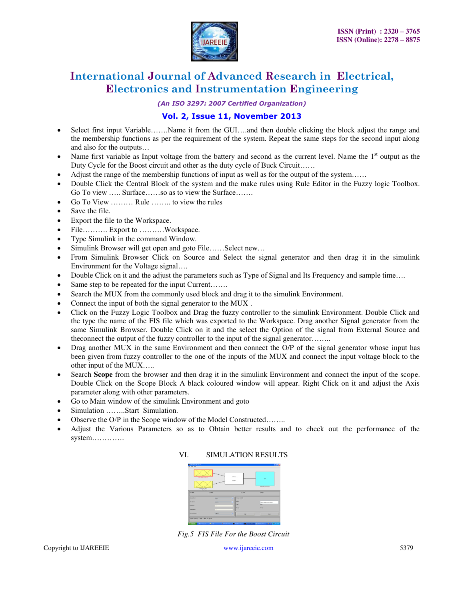

*(An ISO 3297: 2007 Certified Organization)* 

# **Vol. 2, Issue 11, November 2013**

- Select first input Variable…….Name it from the GUI….and then double clicking the block adjust the range and the membership functions as per the requirement of the system. Repeat the same steps for the second input along and also for the outputs…
- Name first variable as Input voltage from the battery and second as the current level. Name the  $1<sup>st</sup>$  output as the Duty Cycle for the Boost circuit and other as the duty cycle of Buck Circuit……
- Adjust the range of the membership functions of input as well as for the output of the system……
- Double Click the Central Block of the system and the make rules using Rule Editor in the Fuzzy logic Toolbox. Go To view ….. Surface……so as to view the Surface…….
- Go To View ……… Rule …….. to view the rules
- Save the file.
- Export the file to the Workspace.
- File……….. Export to ………..Workspace.
- Type Simulink in the command Window.
- Simulink Browser will get open and goto File……Select new…
- From Simulink Browser Click on Source and Select the signal generator and then drag it in the simulink Environment for the Voltage signal….
- Double Click on it and the adjust the parameters such as Type of Signal and Its Frequency and sample time....
- Same step to be repeated for the input Current…….
- Search the MUX from the commonly used block and drag it to the simulink Environment.
- Connect the input of both the signal generator to the MUX .
- Click on the Fuzzy Logic Toolbox and Drag the fuzzy controller to the simulink Environment. Double Click and the type the name of the FIS file which was exported to the Workspace. Drag another Signal generator from the same Simulink Browser. Double Click on it and the select the Option of the signal from External Source and theconnect the output of the fuzzy controller to the input of the signal generator……..
- Drag another MUX in the same Environment and then connect the O/P of the signal generator whose input has been given from fuzzy controller to the one of the inputs of the MUX and connect the input voltage block to the other input of the MUX…..
- Search **Scope** from the browser and then drag it in the simulink Environment and connect the input of the scope. Double Click on the Scope Block A black coloured window will appear. Right Click on it and adjust the Axis parameter along with other parameters.
- Go to Main window of the simulink Environment and goto
- Simulation ……..Start Simulation.
- Observe the O/P in the Scope window of the Model Constructed……..
- Adjust the Various Parameters so as to Obtain better results and to check out the performance of the system………….



### VI. SIMULATION RESULTS

*Fig.5 FIS File For the Boost Circuit*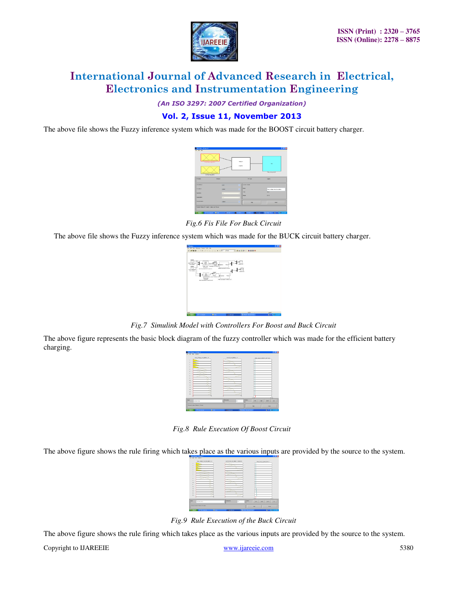

*(An ISO 3297: 2007 Certified Organization)* 

# **Vol. 2, Issue 11, November 2013**

The above file shows the Fuzzy inference system which was made for the BOOST circuit battery charger.



*Fig.6 Fis File For Buck Circuit* 

The above file shows the Fuzzy inference system which was made for the BUCK circuit battery charger.

| <b>Winner</b>                                                             |                                                    |                                      |                 | 国内区         |
|---------------------------------------------------------------------------|----------------------------------------------------|--------------------------------------|-----------------|-------------|
| City: Vest Smitster Format Form Fedg<br><b>Play</b>                       |                                                    |                                      |                 |             |
|                                                                           |                                                    |                                      |                 |             |
|                                                                           |                                                    |                                      |                 |             |
|                                                                           |                                                    |                                      |                 |             |
| FBPH <sub>3</sub>                                                         |                                                    |                                      |                 |             |
| <b>MRUN UCA FAINT</b>                                                     |                                                    |                                      |                 |             |
| <b>Total Buffate</b><br>Fillmings                                         | <b>WARREN</b><br>Elena<br><b>French: Fe 800171</b> |                                      |                 |             |
| rock)<br><b>Systema</b><br>$\sim$<br>$\sim$<br>um, business for buy (a.f. |                                                    | FIRST Executive Cardinals            |                 |             |
| <b><i>Stand Listmaged</i></b><br><b>SLAGUES</b>                           |                                                    |                                      |                 |             |
|                                                                           | <b>XV</b><br>c                                     |                                      |                 |             |
|                                                                           | <b>Sand</b><br>۰                                   | Public <sup>1</sup><br><b>Spatis</b> |                 |             |
| Fate Lock<br><b>Fasted at</b>                                             | <b>MARINE THE RETS TO T</b>                        |                                      |                 |             |
| with Huberman 1 the SHEPC DVT                                             |                                                    | Palle Forester For BBCK Ekf          |                 |             |
|                                                                           |                                                    |                                      |                 |             |
|                                                                           |                                                    |                                      |                 |             |
|                                                                           |                                                    |                                      |                 |             |
|                                                                           |                                                    |                                      |                 |             |
|                                                                           |                                                    |                                      |                 |             |
|                                                                           |                                                    |                                      |                 |             |
|                                                                           |                                                    |                                      |                 |             |
|                                                                           |                                                    |                                      |                 |             |
|                                                                           |                                                    |                                      |                 |             |
|                                                                           |                                                    |                                      |                 |             |
|                                                                           |                                                    |                                      |                 |             |
| <b>Total</b>                                                              |                                                    |                                      | law the control | <b>Said</b> |
|                                                                           |                                                    |                                      |                 |             |

*Fig.7 Simulink Model with Controllers For Boost and Buck Circuit* 

The above figure represents the basic block diagram of the fuzzy controller which was made for the efficient battery charging.

|                          | <b>P Robert Commerce Statements</b>     |                          | 500x                                                   |
|--------------------------|-----------------------------------------|--------------------------|--------------------------------------------------------|
|                          | Fig. Call: Figs. Callions               |                          |                                                        |
|                          | TOO, Village, Non, Balley + E           | Ournal, Fox, Debuty + O. | BW, JOBLA BOOKS, OX 103                                |
|                          |                                         |                          |                                                        |
|                          |                                         |                          |                                                        |
|                          |                                         |                          |                                                        |
|                          |                                         |                          |                                                        |
|                          |                                         |                          |                                                        |
|                          |                                         |                          |                                                        |
| ï<br>×                   |                                         |                          |                                                        |
| $\rightarrow$            |                                         |                          |                                                        |
| $^{12}$                  |                                         |                          |                                                        |
| $^{12}$                  |                                         |                          |                                                        |
| $^{12}$<br>$\mathcal{A}$ |                                         |                          |                                                        |
| $\sim$                   |                                         |                          |                                                        |
| $\sim$                   |                                         |                          |                                                        |
|                          |                                         | u                        | n.ne<br>--                                             |
| <b>Ires</b>              | <b>NEWSTER</b>                          | <b>The points</b><br>ю   | <b>Marine</b><br><b>Int</b><br>details.<br><b>SAN</b>  |
|                          | Contract excitem Vibratica's, \$5 miles |                          | <b>Hotel</b><br>$rac{1}{2}$                            |
| <b>By start</b>          | <b>Zimmer</b><br><b>Barnet</b>          | <b>B. BEINVAN</b><br>٠   | <b>B</b> 2 8 8 10 11 11 11<br><b>Banner</b> House Star |

*Fig.8 Rule Execution Of Boost Circuit* 

The above figure shows the rule firing which takes place as the various inputs are provided by the source to the system.

| back reduce them the indirected              | Connet Ave. By Delivery (1974-212)          | Dalk, Cycle, all Black, 258 x 31 |
|----------------------------------------------|---------------------------------------------|----------------------------------|
|                                              |                                             |                                  |
|                                              |                                             |                                  |
|                                              |                                             |                                  |
|                                              |                                             |                                  |
|                                              |                                             |                                  |
|                                              |                                             |                                  |
|                                              |                                             |                                  |
|                                              |                                             |                                  |
|                                              |                                             |                                  |
|                                              |                                             |                                  |
|                                              |                                             |                                  |
|                                              |                                             |                                  |
|                                              |                                             |                                  |
|                                              |                                             |                                  |
|                                              |                                             |                                  |
|                                              |                                             |                                  |
|                                              |                                             | $\sim$                           |
| <b>BARNED</b>                                | <b>Distance</b><br><b>Marine</b><br>m       | $\overline{a}$<br><b>Allen</b>   |
|                                              |                                             |                                  |
| <b>Concert Follows Children This Art</b>     |                                             | <b>There</b><br>$\sim$           |
| <b>EXISTENCIA</b><br><b>Talent</b><br>$\sim$ | <b>Barras Head for</b><br><b>B</b> salesmen | 0.740                            |

*Fig.9 Rule Execution of the Buck Circuit* 

The above figure shows the rule firing which takes place as the various inputs are provided by the source to the system.